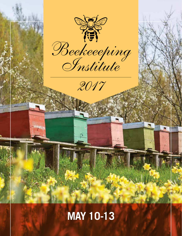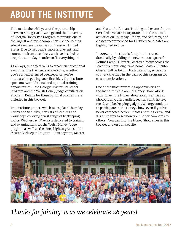# **ABOUT THE INSTITUTE**

This marks the 26th year of the partnership between Young Harris College and the University of Georgia Honey Bee Program to provide one of the largest and most comprehensive beekeeping educational events in the southeastern United States. Due to last year's successful event, and comments from attendees, we have decided to keep the extra day in order to fit everything in!

As always, our objective is to create an educational event that fits the needs of everyone, whether you're an experienced beekeeper or you're interested in getting your first hive. The Institute sponsors two additional and optional training opportunities – the Georgia Master Beekeeper Program and the Welsh Honey Judge certification Program. Details for these optional programs are included in this booklet.

The Institute proper, which takes place Thursday, Friday and Saturday, consists of lectures and workshops covering a vast range of beekeeping topics. Wednesday, May 10 is dedicated to training and examinations for the Welsh Honey Judge program as well as the three highest grades of the Master Beekeeper Program – Journeyman, Master,

and Master Craftsman. Training and exams for the Certifed level are incorporated into the normal activities on Thursday, Friday, and Saturday, and classes recommended for Certifed candidates are highlighted in blue.

In 2015, our Institute's footprint increased drastically by adding the new 121,000 square ft. Rollins Campus Center, located directly across the street from our long-time home, Maxwell Center. Classes will be held in both locations, so be sure to check the map in the back of this program for classroom locations.

One of the most rewarding opportunities at the Institute is the annual Honey Show. Along with honey, the Honey Show accepts entries in photography, art, candles, section comb honey, mead, and beekeeping gadgets. We urge students to participate in the Honey Show, even if you've never competed before. It costs nothing extra, and it's a fun way to see how your honey compares to others'. You can find the Honey Show rules in this booklet and on our website.

![](_page_1_Picture_7.jpeg)

*Thanks for joining us as we celebrate 26 years!*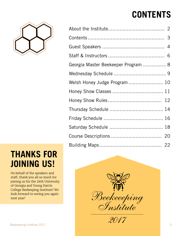# **CONTENTS**

![](_page_2_Picture_1.jpeg)

| THANKS FOR         |  |
|--------------------|--|
| <b>JOINING US!</b> |  |

On behalf of the speakers and staff, thank you all so much for joining us for the 26th University of Georgia and Young Harris College Beekeeping Institute! We look forward to seeing you again next year!

| Georgia Master Beekeeper Program  8 |  |
|-------------------------------------|--|
|                                     |  |
| Welsh Honey Judge Program 10        |  |
|                                     |  |
|                                     |  |
|                                     |  |
|                                     |  |
|                                     |  |
|                                     |  |
|                                     |  |
|                                     |  |

![](_page_2_Picture_5.jpeg)

*2017*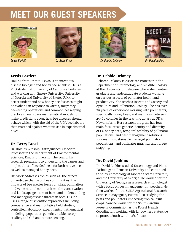# **MEET OUR GUEST SPEAKERS**

![](_page_3_Picture_1.jpeg)

![](_page_3_Picture_3.jpeg)

![](_page_3_Picture_5.jpeg)

*Lewis Barlett Dr. Berry Brosi Dr. Debbie Delaney Dr. David Jenkins* 

![](_page_3_Picture_7.jpeg)

#### **Lewis Bartlett**

Hailing from Britain, Lewis is an infectious disease biologist and honey bee scientist. He is a PhD student at University of California Berkeley and working with Emory University, University of Georgia and University of Exeter (UK), to better understand how honey bee diseases might be evolving in response to varroa, migratory beekeeping operations and common beekeeping practices. Lewis uses mathematical models to make predictions about how bee diseases should behave which, with the aid of the UGA bee lab, are then matched against what we see in experimental hives.

#### **Dr. Berry Brosi**

Dr. Brosi is Winship Distinguished Associate Professor in the Department of Environmental Sciences, Emory University. The goal of his research program is to understand the causes and implications of bee declines, for both native bees as well as managed honey bees.

His work addresses topics such as: the effects of land-use change on bee communities, the impacts of bee species losses on plant pollination in diverse natural communities, the conservation and landscape genetics of bees, and understanding and managing disease threats in bees. His lab uses a range of scientific approaches including comparative and manipulative field studies, controlled laboratory experiments, mathematical modeling, population genetics, stable isotope studies, and GIS and remote sensing.

### **Dr. Debbie Delaney**

Deborah Delaney is Associate Professor in the Department of Entomology and Wildlife Ecology at the University of Delaware where she mentors graduate and undergraduate students working on various aspects of pollinator health and productivity. She teaches Insects and Society and Apiculture and Pollination Ecology. She has over 20 years of experience working with pollinators, specifically honey bees, and maintains between 25-60 colonies in the teaching apiary at UD's Newark farm. Her research program has four main focal areas: genetic identity and diversity of US honey bees, temporal stability of pollinator populations, and best management solutions for creating sustainable managed pollinator populations, and pollinator nutrition and forage mapping.

#### **Dr. David Jenkins**

Dr. David Jenkins studied Entomology and Plant Pathology at Clemson University and continued to study entomology at Montana State University and the University of Georgia. He worked for the University of Georgia as a research entomologist with a focus on pest management in peaches. He then worked for the USDA Agricultural Research Service in Mayaguez, Puerto Rico studying the pests and pollinators impacting tropical fruit crops. Now he works for the South Carolina Forestry Commission as the Forest Health Coordinator, working with landowners statewide to protect South Carolina's forests.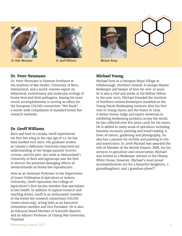![](_page_4_Picture_0.jpeg)

*Dr. Peter Neumann Dr. Geoff Williams Michael Young* 

![](_page_4_Picture_2.jpeg)

#### **Dr. Peter Neumann**

Dr. Peter Neumann is Vinetum Professor at the Institute of Bee Health, University of Bern, Switzerland, and a world-renown expert on behavioral, evolutionary and molecular ecology of honey bees and their pathogens. Among his most recent accomplishments is serving as editor for the European COLOSS consortium "Bee Book" – a world-wide compilation of standard honey bee research methods.

#### **Dr. Geoff Williams**

Born and bred in Canada, Geoff experienced his first bee sting at the ripe age of 23. He has been hooked ever since. His graduate studies at Canada's Dalhousie University improved our understanding of the fungal parasite *Nosema ceranae*, and his post-doc work at Switzerland's University of Bern and Agroscope was the first to discern the potential damaging efects of neonicotinoids on honey bee reproduction.

Now as an Assistant Professor in the Department of Insect Pollination & Apiculture at Auburn University, Geoff represents the College of Agriculture's first faculty member that specializes in bee health. In addition to typical research and teaching duties, Geoff is an enthusiastic member of the honey bee research consortium COLOSS (www.coloss.org), acting both as an Executive Committee member and Vice President. He is also an Editorial Board Member of Scientific Reports and an Adjunct Professor at Chiang Mai University, Thailand.

![](_page_4_Picture_9.jpeg)

![](_page_4_Picture_10.jpeg)

### **Michael Young**

Michael lives in a Georgian Royal Village in Hillsborough, Northern Ireland. A Georgia Master Beekeeper and keeper of bees for over 30 years he is also a chef and works at the Belfast Hilton. In the year 2000, Michael Founded the Institute of Northern Ireland Beekeepers modeled on the Young Harris Beekeeping Institute after his first visit to Young Harris and the States in 1999. A Senior Honey Judge and expert showman in exhibiting beekeeping products across the world, he has collected over 800 prize cards for his wares. He is skilled in many areas of apiculture including beeswax encaustic painting and mead making. A lover of nature, gardening and photography, he also has a passion for orchids and painting in oils and watercolors. In 2008 Michael was awarded the title of Member of the British Empire, MBE, for his services to apiculture and conservation. Michael was invited as a Beekeeper Advisor to the Obama White House. However, Michael's most proud accomplishments are his 4 beautiful daughters, 5 granddaughters, and 1 grandson phew!!!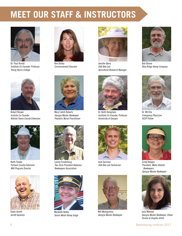# **MEET OUR STAFF & INSTRUCTORS**

![](_page_5_Picture_1.jpeg)

Dr. Paul Arnold *Institute Co-Founder, Professor Young Harris College*

![](_page_5_Picture_3.jpeg)

*Environmental Educator*

![](_page_5_Picture_5.jpeg)

Robert Brewer *Insitute Co-Founder Retired Towns County Extension*

![](_page_5_Picture_7.jpeg)

Keith Fielder *Putnam County Extension WHJ Program Director*

![](_page_5_Picture_9.jpeg)

Slade Jarrett *Jarrett Apiaries*

![](_page_5_Picture_11.jpeg)

Mary Cahill-Roberts *Georgia Master Beekeeper Pediatric Nurse Practitioner*

![](_page_5_Picture_13.jpeg)

Lonnie Funderburg *Two-Term President Alabama Beekeepers Association*

![](_page_5_Picture_15.jpeg)

Marybeth Kelley *Senior Welsh Honey Judge*

![](_page_5_Picture_17.jpeg)

Jennifer Berry *UGA Bee Lab Apicultural Research Manager* 

![](_page_5_Picture_19.jpeg)

Dr. Keith Delaplane *Institute Co-Founder, Professor University of Georgia*

![](_page_5_Picture_21.jpeg)

Jack Garrison *UGA Bee Lab Technician*

![](_page_5_Picture_23.jpeg)

Will Montgomery *Georgia Master Beekeeper*

![](_page_5_Picture_25.jpeg)

Bob Binnie *Blue Ridge Honey Company*

![](_page_5_Picture_27.jpeg)

Dr. Will Dix *Emergency Physician ACEP Fellow*

![](_page_5_Picture_29.jpeg)

Cindy Hodges *President, Metro Atlanta Beekeepers Georgia Master Beekeeper*

![](_page_5_Picture_31.jpeg)

Julia Mahood *Georgia Master Beekeeper, Urban Farmer & Graphic Artist*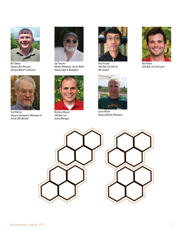![](_page_6_Picture_0.jpeg)

Bill Owens *Georgia Bee Removal Georgia Master Craftsman*

![](_page_6_Picture_2.jpeg)

Tom Watson *Georgia Journeyman Beekeeper & Active ABA Member*

![](_page_6_Picture_4.jpeg)

Jay Parsons *Master Beekeeper, Senior Welsh Honey Judge & Beekeeper*

![](_page_6_Picture_6.jpeg)

Nicholas Weaver *UGA Bee Lab Apiary Manager*

![](_page_6_Picture_8.jpeg)

Avry Pribadi *UGA Bee Lab Staff & MS student*

![](_page_6_Picture_10.jpeg)

Lance Wilson *Georgia Master Beekeeper*

![](_page_6_Picture_12.jpeg)

Ben Rouse *UGA Bee Lab Technician*

![](_page_6_Picture_14.jpeg)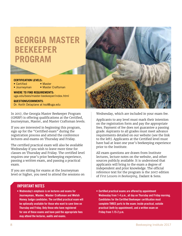# **GEORGIA MASTER BEEKEEPER PROGRAM**

## **CERTIFICATION LEVELS:**<br>• Certified • Master

- $\bullet$  Certified  $\bullet$
- Journeyman Master Craftsman
	-

**WHERE TO FIND REQUIREMENTS:** uga.edu/bees/master-beekeeper/index.html

**QUESTIONS/COMMENTS**: Dr. Keith Delaplane at ksd@uga.edu

In 2017, the Georgia Master Beekeeper Program (GMBP) is offering qualifications at the Certified, Journeyman, Master, and Master Craftsman levels.

If you are interested in beginning this program, sign up for the "Certifed exam" during the registration process and attend the conference lectures and exams on Thursday and Friday.

The certifed practical exam will also be available Wednesday if you wish to leave more time for classes on Thursday and Friday. The certifed level requires one year's prior beekeeping experience, passing a written exam, and passing a practical exam.

If you are sitting for exams at the Journeyman level or higher, you need to attend the sessions on

![](_page_7_Picture_11.jpeg)

Wednesday, which are included in your exam fee.

Applicants to any level must mark their intention on the registration form and pay the appropriate fees. Payment of fee does not guarantee a passing grade. Aspirants to all grades must meet advance requirements detailed on our website (see the link to the left). Applicants at the Certifed level must have had at least one year's beekeeping experience prior to the Institute.

All exam questions are drawn from Institute lectures, lecture notes on the website, and other sources publicly available. It is understood that applicants will bring to the exam a degree of independent and prior knowledge. The official reference text for the program is the 2007 edition of *First Lessons in Beekeeping*, Dadant & Sons.

#### **IMPORTANT NOTES**

- **• Wednesday's emphasis is on lectures and exams for Journeyman, Master, Master Craftsman and Welsh Honey Judge candidates. The certified practical exam will be optionally available for those who want to save time on Thursday and Friday. Only those who have registered for one of these exams and have paid the appropriate fees may attend the lectures, audits and exams.**
- **• Certified practical exams are offered by appointment Wednesday from 1-4 p.m., all day on Thursday and Friday morning. Candidates for the Certified Beekeeper certification must complete THREE parts to the exam: inside practical, outside practical (both by appointment), and a written exam on Friday from 1:15-2 p.m.**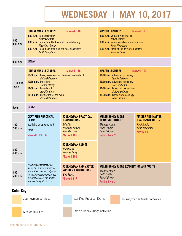**WEDNESDAY** | **MAY 10, 2017**

| $8:00-$<br>9:30a.m.    | <b>JOURNEYMAN LECTURES</b><br>8:00 a.m. Basic toxicology<br><b>Geoff Williams</b><br>8:30 a.m. Products of the hive and honey labeling<br><b>Nicholas Weaver</b><br>9:00 a.m. Bees, near-bees and bee nest associates I<br><b>Keith Delaplane</b>                      | Maxwell 116                                                                                                                     | <b>MASTER LECTURES</b><br>Maxwell 117<br>8:00 a.m. Valuating pollination<br><b>David Jenkins</b><br>8:30 a.m. Varroa resistance mechanisms<br><b>Peter Neumann</b><br>9:00 a.m. State of the art Varroa control<br>Jennifer Berry                                                   |                                                                                                                    |  |  |  |
|------------------------|------------------------------------------------------------------------------------------------------------------------------------------------------------------------------------------------------------------------------------------------------------------------|---------------------------------------------------------------------------------------------------------------------------------|-------------------------------------------------------------------------------------------------------------------------------------------------------------------------------------------------------------------------------------------------------------------------------------|--------------------------------------------------------------------------------------------------------------------|--|--|--|
| 9:30a.m.               | <b>BREAK</b>                                                                                                                                                                                                                                                           |                                                                                                                                 |                                                                                                                                                                                                                                                                                     |                                                                                                                    |  |  |  |
| 10:00a.m.<br>-noon     | <b>JOURNEYMAN LECTURES</b><br>10:00 a.m. Bees, near-bees and bee nest associates II<br><b>Keith Delaplane</b><br>10:30 a.m. Disorders I<br>Jennifer Berry<br>11:00 a.m. Disorders II<br>Jennifer Berry<br>11:30 a.m. Highlights for the exam<br><b>Keith Delaplane</b> | Maxwell 116                                                                                                                     | <b>MASTER LECTURES</b><br>Maxwell 117<br>10:00 a.m. Advanced pathology<br><b>Debbie Delaney</b><br>10:30 a.m. Advanced toxicology<br><b>Geoff Williams</b><br>11:00 a.m. Drivers of bee decline<br><b>Debbie Delaney</b><br>11:30 a.m. Conservation ecology<br><b>David Jenkins</b> |                                                                                                                    |  |  |  |
| Noon.                  | <b>LUNCH</b>                                                                                                                                                                                                                                                           |                                                                                                                                 |                                                                                                                                                                                                                                                                                     |                                                                                                                    |  |  |  |
| $1:00-$<br>$2:00$ p.m. | <b>CERTIFIED PRACTICAL</b><br><b>EXAMS</b><br>available by appointment*<br><b>Staff</b><br><b>Maxwell 113, 114</b>                                                                                                                                                     | <b>JOURNEYMAN PRACTICAL</b><br><b>EXAMINATIONS</b><br><b>Will Dix</b><br>Nicholas Weaver<br><b>Jack Garrison</b><br>Maxwell 109 | <b>WELSH HONEY JUDGE</b><br><b>TRAINING LECTURES</b><br><b>Michael Young</b><br><b>Keith Fielder</b><br><b>Robert Brewer</b><br><b>Rollins level 2</b>                                                                                                                              | <b>MASTER AND MASTER</b><br><b>CRAFTSMAN AUDITS</b><br><b>Paul Arnold</b><br><b>Keith Delaplane</b><br>Maxwell 116 |  |  |  |
| $3:00-$<br>4:00 p.m.   |                                                                                                                                                                                                                                                                        | <b>JOURNEYMAN AUDITS</b><br><b>Bill Owens</b><br>Jennifer Berry<br>Maxwell 106                                                  |                                                                                                                                                                                                                                                                                     |                                                                                                                    |  |  |  |
| $4:00 -$<br>5:00 p.m.  | *Certified candidates must<br>sit for two exams: a practical<br>and written. You must sign up<br>for the practical portion at the<br>registration desk. The written<br>exam is Friday at 1:15 p.m.                                                                     | <b>JOURNEYMAN AND MASTER</b><br><b>WRITTEN EXAMINATIONS</b><br><b>Ben Rouse</b><br>Maxwell 117                                  | WELSH HONEY JUDGE EXAMINATION AND AUDITS<br><b>Micahel Young</b><br><b>Keith Fielder</b><br><b>Robert Brewer</b><br><b>Rollins level 2</b>                                                                                                                                          |                                                                                                                    |  |  |  |
| <b>Color Key</b>       |                                                                                                                                                                                                                                                                        |                                                                                                                                 |                                                                                                                                                                                                                                                                                     |                                                                                                                    |  |  |  |
|                        | Journeyman activities                                                                                                                                                                                                                                                  | <b>Certified Practical Exams</b>                                                                                                |                                                                                                                                                                                                                                                                                     | Journeyman & Master activities                                                                                     |  |  |  |

Master activities

Welsh Honey Judge activities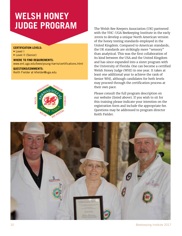# **WELSH HONEY JUDGE PROGRAM**

#### **CERTIFICATION LEVELS:**

- Level I
- Level II (Senior)

#### **WHERE TO FIND REQUIREMENTS:**

www.ent.uga.edu/bees/young-harris/certifications.html

#### **QUESTIONS/COMMENTS:** Keith Fielder at kfielder@uga.edu

![](_page_9_Picture_7.jpeg)

The Welsh Bee Keepers Association (UK) partnered with the YHC-UGA Beekeeping Institute in the early 2000s to develop a unique North American version of the honey testing standards employed in the United Kingdom. Compared to American standards, the UK standards are strikingly more "sensory" than analytical. This was the first collaboration of its kind between the USA and the United Kingdom and has since expanded into a sister program with the University of Florida. One can become a certifed Welsh Honey Judge (WHJ) in one year. It takes at least one additional year to achieve the rank of Senior WHJ, although candidates for both levels may proceed through the certification process at their own pace.

Please consult the full program description on our website (listed above). If you wish to sit for this training please indicate your intention on the registration form and include the appropriate fee. Questions may be addressed to program director Keith Fielder.

![](_page_9_Picture_10.jpeg)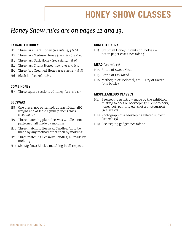# **HONEY SHOW CLASSES**

## *Honey Show rules are on pages 12 and 13.*

### **EXTRACTED HONEY**

- H1 Three jars Light Honey *(see rules 4, 5 & 6)*
- H2 Three jars Medium Honey *(see rules 4, 5 & 6)*
- H3 Three jars Dark Honey *(see rules 4, 5 & 6)*
- H4 Three jars Chunk Honey *(see rules 4, 5 & 7)*
- H5 Three Jars Creamed Honey *(see rules 4, 5 & 8)*
- H6 Black jar *(see rule 4 & 9)*

#### **COMB HONEY**

H7 Three square sections of honey *(see rule 11)*

#### **BEESWAX**

- H8 One piece, not patterned, at least  $454g$  (1lb) weight and at least 25mm (1 inch) thick *(see rule 12)*
- H9 Three matching plain Beeswax Candles, not patterned; all made by molding
- H10 Three matching Beeswax Candles. All to be made by any method other than by molding
- H11 Three matching Beeswax Candles; all made by molding
- H12 Six 28g (1oz) Blocks, matching in all respects

#### **CONFECTIONERY**

H13 Six Small Honey Biscuits or Cookies – not in paper cases *(see rule 14)*

#### **MEAD** *(see rule 13)*

- H14 Bottle of Sweet Mead
- H15 Bottle of Dry Mead
- H16 Metheglin or Melomel, etc. Dry or Sweet (one bottle)

#### **MISCELLANEOUS CLASSES**

- H17 Beekeeping Artistry made by the exhibitor, relating to bees or beekeeping i.e. embroidery, honey pot, painting etc. (not a photograph) *(see rule 17)*
- H18 Photograph of a beekeeping related subject *(see rule 15)*
- H19 Beekeeping gadget *(see rule 16)*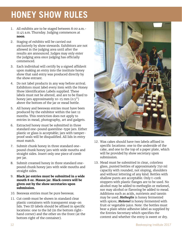# **HONEY SHOW RULES**

- 1. All exhibits are to be staged between 8:00 a.m.- 11:45 a.m. Thursday. Judging commences at **noon**.
- 2. Staging of exhibits will be carried out exclusively by show stewards. Exhibitors are not allowed in the judging area until after the results are announced. Judges may only enter the judging area once judging has officially commenced.
- 3. Each individual will certify by a signed affidavit upon making an entry into the institute honey show that said entry was produced directly by the show entrant.
- 4. Do not label products in any way before arrival. Exhibitors must label every item with the Honey Show Identification Labels supplied. These labels must not be altered, and are to be fixed to honey jars approximately 10-15 mm (0.5") above the bottom of the jar or mead bottle.
- 5. All honey and beeswax entries must have been produced by the exhibitor within the last 12 months. This restriction does not apply to entries in mead, photography, art and gadgets.
- 6. Extracted honey must be submitted in three standard one-pound queenline-type jars. Either plastic or glass is acceptable; jars with tamperproof seals will be disqualifed. All lids in entry must match.
- 7. Submit chunk honey in three standard onepound chunk honey jars with wide mouths and straight sides. Insert only one piece of comb per jar.
- 8. Submit creamed honey in three standard onepound chunk honey jars with wide mouths and straight sides.
- 9. **Black jar entries must be submitted in a wide mouth 8 oz. Mason jar. Black covers will be given out by the show secretaries upon submission.**
- 10. Beeswax entries must be pure beeswax.
- 11. Cut comb must be shown in standard clear plastic containers with transparent snap-on lids. Two ID labels should be affixed in specific locations: one to the lid (in the bottom righthand corner) and the other on the front (at the bottom right of the container).

![](_page_11_Picture_12.jpeg)

- 12. Wax cakes should have two labels affixed in specific locations: one to the underside of the cake, and one to the top of a paper plate, which will be provided by show secretary upon submission.
- 13. Mead must be submitted in clear, colorless glass, punted bottles of approximately 750 ml capacity with rounded, not sloping, shoulders and without lettering of any kind. Bottles with shallow punts are acceptable. Only t-cork stoppers with plastic flanges are to be used. No alcohol may be added to metheglin or melomel, nor may alcohol or flavoring be added to mead. Additions such as acids, nutrients and tannin may be used. *Metheglin* is honey fermented with spices; *Melomel* is honey fermented with fruit or vegetable juice. Note: the bottles must bear a plain white adhesive label as supplied by the Entries Secretary which specifies the content and whether the entry is sweet or dry.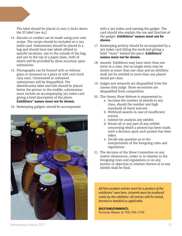The label should be placed 25 mm (1 inch) above the ID label (see  $#4$ ).

- 14. Biscuits or cookies can be made using your own recipe. The recipe should be included on a 3x5 index card. Submissions should be placed in a bag and should have two labels affixed in specific locations: one to the outside of the bag, and one to the top of a paper plate, both of which will be provided by show secretary upon submission.
- 15. Photographs can be framed with or without glass or mounted on a piece of stiff card stock (any size). Unmounted or unframed submissions will be disqualified. The identifcation label and title should be placed below the picture in the middle; submissions must include an accompanying 3x5 index card giving a brief description of the photo. **Exhibitors' names must not be shown.**
- 16. Beekeeping gadgets should be accompanied

![](_page_12_Picture_4.jpeg)

with a 3x5 index card naming the gadget. The card should also explain the use and function of the gadget. **Exhibitors' names must not be shown.** 

- 17. Beekeeping artistry should be accompanied by a 3x5 index card titling the work and giving a brief "story" behind the piece. **Exhibitors' names must not be shown.**
- 18. Awards: Exhibitors may have more than one entry in a class, but no single entry may be shown in more than one class and an exhibitor shall not be entitled to more than one placed award per class.
- 19. Judges and stewards are disqualified from the classes they judge. Show secretaries are disqualifed from competition.
- 20. The Honey Show Referee is empowered to:
	- a. Increase the number of awards in any class, should the number and high standards of merit warrant.
	- b. Withhold awards in case of insufficient entries.
	- c. Submit for analysis any exhibit.
	- d. Retain all or any part of any exhibit concerning which a protest has been made, until a decision upon such protest has been taken.
	- e. Decide any question as to the interpretation of the foregoing rules and regulations.
- 21. The decision of the Show Committee on any matter whatsoever, under or in relation to the foregoing rules and regulations or on any protest or objection in relation thereto or to any exhibit shall be final.

*All hive product entries must be a product of the exhibitors' own bees. Artwork must be produced solely by the exhibitor. All entries will be tasted, burned or handled as applicable.*

**QUESTIONS/COMMENTS:** Nicholas Weaver at 706-769-1736

Beekeeping Institute 2017 13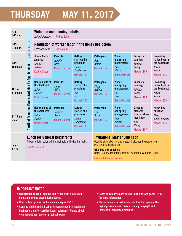# **THURSDAY** | **MAY 11, 2017**

| $8:00-$<br>8:15a.m.   |                                                                                                                                  | Keith Delaplane                                                                            | Welcome and opening details<br><b>Rollins Suber</b>                           |                                                                              |                                                          |                                                                                                                                                                                                                                                                            |                                                                                                             |                                                                                               |  |
|-----------------------|----------------------------------------------------------------------------------------------------------------------------------|--------------------------------------------------------------------------------------------|-------------------------------------------------------------------------------|------------------------------------------------------------------------------|----------------------------------------------------------|----------------------------------------------------------------------------------------------------------------------------------------------------------------------------------------------------------------------------------------------------------------------------|-------------------------------------------------------------------------------------------------------------|-----------------------------------------------------------------------------------------------|--|
| $8:15-$<br>9:00a.m.   | Maxwell 113,114                                                                                                                  | Peter Neumann                                                                              | Regulation of worker labor in the honey bee colony<br><b>Rollins Suber</b>    |                                                                              |                                                          |                                                                                                                                                                                                                                                                            |                                                                                                             |                                                                                               |  |
| $9:15-$<br>10:00a.m.  |                                                                                                                                  | Apis in North<br>America<br>Debbie<br>Delaney<br><b>Rollins Suber</b>                      | <b>Parasites</b><br><b>Jennifer</b><br><b>Berry</b><br><b>Rollins Hatcher</b> | Getting<br>started: the<br>principles<br>Lonnie<br>Funderburg<br>Maxwell 106 | <b>Pathogens</b><br>Paul<br><b>Arnold</b><br>Maxwell 117 | Winter<br>and spring<br>management<br>Tom<br>Watson<br><b>Behind Maxwell</b>                                                                                                                                                                                               | <b>Encaustic</b><br>painting<br>Michael<br>Young<br>Maxwell 109                                             | <b>Promoting</b><br>native bees in<br>the Southeast<br>David<br><b>Jenkins</b><br>Maxwell 116 |  |
| $10:15-$<br>11:00a.m. |                                                                                                                                  | <b>Honey plants of</b><br>the Southeast<br>Keith<br><b>Fielder</b><br><b>Rollins Suber</b> | <b>Parasites</b><br>Lance<br>Wilson<br><b>Rollins Hatcher</b>                 | Getting<br>started: the<br>principles<br>Will<br>Dix<br>Maxwell 106          | <b>Pathogens</b><br>Cindy<br>Hodges<br>Maxwell 117       | Winter<br>and spring<br>management<br>Bill<br>Owens<br><b>Behind Maxwell</b>                                                                                                                                                                                               | <b>Encaustic</b><br>painting<br><b>Michael</b><br>Young<br>Maxwell 109                                      | <b>Promoting</b><br>native bees in<br>the Southeast<br>David<br><b>Jenkins</b><br>Maxwell 116 |  |
| 11:15a.m.<br>-noon    | <b>Certified Practical Exams Available By Appointment</b>                                                                        | <b>Honey plants of</b><br>the Southeast<br>Keith<br><b>Fielder</b><br><b>Rollins Suber</b> | <b>Parasites</b><br><b>Jennifer</b><br><b>Berry</b><br><b>Rollins Hatcher</b> | Getting<br>started: the<br>principles<br>Lonnie<br>Funderburg<br>Maxwell 106 | <b>Pathogens</b><br>Paul<br><b>Arnold</b><br>Maxwell 117 | Winter<br>and spring<br>management<br><b>Tom</b><br>Watson<br><b>Behind Maxwell</b>                                                                                                                                                                                        | <b>Creating</b><br><b>Monarch</b><br>habitats (bees<br>love it too!)<br>Kim<br><b>Bailey</b><br>Maxwell 107 | <b>Honey bee</b><br>nutrition<br>Mary<br>Cahill-Roberts<br>Maxwell 116                        |  |
| noon-<br>1 p.m.       | <b>Lunch for General Registrants</b><br>Advance ticket sales will be available in the Rollins lobby.<br><b>Rollins Cafeteria</b> |                                                                                            |                                                                               |                                                                              |                                                          | <b>Invitational Master Luncheon</b><br>Open to sitting Master and Master Craftsman beekeepers only.<br>Pre-registration required.<br><b>Q&amp;A time with speakers</b><br>Brosi, Delaney, Delaplane, Jenkins, Neumann, Williams, Young<br>Rollins third floor student loft |                                                                                                             |                                                                                               |  |

### **IMPORTANT NOTES**

- **• Registration is open Thursday and Friday from 7 a.m. until 6 p.m. and will be closed during lunch.**
- **• Course descriptions can be found on pages 19-21.**
- **• Courses highlighted in BLUE are recommended for beginning beekeepers and/or Certified Exam registrants. Please check your appointment time for practical exams.**
- **• Honey show entries are due by 11:45 a.m. See pages 12-13 for more information.**
- **• Please do not ask Institute instructors for copies of their digital presentations. There are many copyright and intellectual property difficulties.**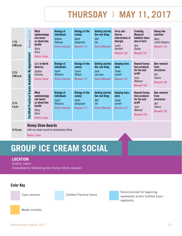# **THURSDAY** | **MAY 11, 2017**

| $1:15-$<br>$2:00$ p.m. | Maxwell 113,114                            | What<br>epidemiology<br>can teach<br>us about bee<br>health<br>Berry<br><b>Brosi</b><br><b>Rollins Suber</b>        | <b>Biology of</b><br><b>individuals</b><br><b>Debbie</b><br><b>Delaney</b><br><b>Rollins Hatcher</b> | <b>Biology of the</b><br>colony<br>Keith<br>Delaplane<br>Maxwell 117 | <b>Getting started:</b><br>the real thing<br>Will<br>Dix<br><b>Behind Maxwell</b>      | Virus and<br>Varroa<br>interactions in<br>Georgia<br>Lewis<br><b>Bartlett</b><br>Maxwell 106 | <b>Creating</b><br><b>Monarch</b><br>habitats (bees<br>love it too!)<br>Kim<br><b>Bailey</b><br>Maxwell 107 | <b>Honey bee</b><br>nutrition<br>Mary<br>Cahill-Roberts<br>Maxwell 116                 |
|------------------------|--------------------------------------------|---------------------------------------------------------------------------------------------------------------------|------------------------------------------------------------------------------------------------------|----------------------------------------------------------------------|----------------------------------------------------------------------------------------|----------------------------------------------------------------------------------------------|-------------------------------------------------------------------------------------------------------------|----------------------------------------------------------------------------------------|
| $2:15-$<br>$3:00$ p.m. | <b>By Appointment</b>                      | Apis in North<br>America<br>Debbie<br>Delaney<br><b>Rollins Suber</b>                                               | <b>Biology of</b><br><b>individuals</b><br>Geoff<br>Williams<br><b>Rollins Hatcher</b>               | <b>Biology of the</b><br>colony<br>Lance<br>Wilson<br>Maxwell 117    | <b>Getting started:</b><br>the real thing<br>Jack<br>Garrison<br><b>Behind Maxwell</b> | <b>Keeping bees</b><br>alive<br>Slade<br><b>Jarrett</b><br>Maxwell 107                       | <b>Beyond honey:</b><br>hive products<br>for fun and<br>profit<br>Julia<br>Mahood<br>Maxwell 109            | <b>Bee removal</b><br>from<br><b>structures</b><br>Bill<br><b>Owens</b><br>Maxwell 106 |
| $3:15-$<br>4 p.m.      | <b>Certified Practical Exams Available</b> | What<br>epidemiology<br>can teach<br>us about bee<br>health<br><b>Berry</b><br><b>Brosi</b><br><b>Rollins Suber</b> | <b>Biology of</b><br><b>individuals</b><br>Geoff<br>Williams<br><b>Rollins Hatcher</b>               | <b>Biology of the</b><br>colony<br>Keith<br>Delaplane<br>Maxwell 117 | <b>Getting started:</b><br>the real thing<br>Will<br>Dix<br><b>Behind Maxwell</b>      | <b>Keeping bees</b><br>alive<br>Slade<br><b>Jarrett</b><br>Maxwell 107                       | <b>Beyond honey:</b><br>hive products<br>for fun and<br>profit<br>Julia<br>Mahood<br>Maxwell 109            | <b>Bee removal</b><br>from<br>structures<br>Bill<br><b>Owens</b><br>Maxwell 106        |
| $4:15$ p.m.            |                                            | <b>Honey Show Awards</b><br>with ice cream social to immediately follow<br><b>Rollins Suber</b>                     |                                                                                                      |                                                                      |                                                                                        |                                                                                              |                                                                                                             |                                                                                        |

#### **Honey Show Awards**

**Rollins Suber** 

## **GROUP ICE CREAM SOCIAL**

#### **LOCATION**

Rollins Suber Immediately following the Honey Show Awards

### **Color Key**

Open sessions **Certified Practical Exams** Recommended for beginning Recommended for beginning beekeepers and/or Certified Exam registrants.

![](_page_14_Picture_12.jpeg)

Master activities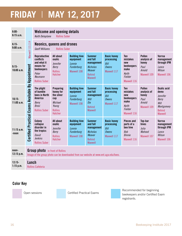# **FRIDAY** | **MAY 12, 2017**

| $8:00-$<br>8:15a.m.     |                                                                                                                                | Welcome and opening details<br><b>Rollins Suber</b><br>Keith Delaplane                                                 |                                                                                                            |                                                                          |                                                                                                         |                                                                         |                                                                                           |                                                                        |                                                                                                                 |
|-------------------------|--------------------------------------------------------------------------------------------------------------------------------|------------------------------------------------------------------------------------------------------------------------|------------------------------------------------------------------------------------------------------------|--------------------------------------------------------------------------|---------------------------------------------------------------------------------------------------------|-------------------------------------------------------------------------|-------------------------------------------------------------------------------------------|------------------------------------------------------------------------|-----------------------------------------------------------------------------------------------------------------|
| $8:15-$<br>9:00a.m.     | Maxwell 113,114                                                                                                                | <b>Geoff Williams</b>                                                                                                  | <b>Neonics, queens and drones</b><br><b>Rollins Suber</b>                                                  |                                                                          |                                                                                                         |                                                                         |                                                                                           |                                                                        |                                                                                                                 |
| $9:15-$<br>10:00a.m.    |                                                                                                                                | <b>Reproductive</b><br>conflicts<br>and what it<br>means for<br>beekeepers<br>Peter<br>Neumann<br><b>Rollins Suber</b> | All about<br>oxalic<br>Jennifer<br><b>Berry</b><br><b>Rollins</b><br><b>Hatcher</b>                        | <b>Building hive</b><br>equipment<br>Lonnie<br>Funderburg<br>Maxwell 108 | <b>Summer</b><br>and fall<br>management<br><b>Nicholas</b><br>Weaver<br><b>Behind</b><br><b>Maxwell</b> | <b>Basic honey</b><br>processing<br>Bill<br><b>Owens</b><br>Maxwell 117 | <b>Ten</b><br>mistakes<br>new<br>beekeepers<br>make<br>Keith<br>Fielder<br>Maxwell 116    | <b>Pollen</b><br>analysis of<br>honey<br>Paul<br>Arnold<br>Maxwell 109 | <b>Varroa</b><br>management<br>through IPM<br>Lance<br>Wilson<br>Maxwell 106                                    |
| $10:15-$<br>11:00a.m.   | <b>Certified Practical Exams Available By Appointment</b>                                                                      | The plight<br>of bumble<br>bees in North<br><b>America</b><br><b>Berry</b><br><b>Brosi</b><br><b>Rollins Suber</b>     | <b>Preparing</b><br>honey for<br>the silver<br>cup<br>Michael<br>Young<br><b>Rollins</b><br><b>Hatcher</b> | <b>Building hive</b><br>equipment<br>Lonnie<br>Funderburg<br>Maxwell 108 | <b>Summer</b><br>and fall<br>management<br>Will<br>Dix<br><b>Behind</b><br><b>Maxwell</b>               | <b>Basic honey</b><br>processing<br>Bill<br><b>Owens</b><br>Maxwell 117 | <b>Ten</b><br>mistakes<br>new<br>beekeepers<br>make<br>Keith<br>Fielder<br>Maxwell 116    | <b>Pollen</b><br>analysis of<br>honey<br>Paul<br>Arnold<br>Maxwell 109 | <b>Oxalic acid</b><br>demo<br><b>Jennifer</b><br>Berry<br>Will<br>Montgomery<br><b>Behind</b><br><b>Maxwell</b> |
| $11:15$ a.m.<br>-noon   |                                                                                                                                | Colony<br>collapse<br>disorder in<br>the tropics<br>David<br><b>Jenkins</b><br><b>Rollins Suber</b>                    | All about<br>oxalic<br>Jennifer<br><b>Berry</b><br><b>Rollins</b><br><b>Hatcher</b>                        | <b>Building hive</b><br>equipment<br>Lonnie<br>Funderburg<br>Maxwell 108 | <b>Summer</b><br>and fall<br>management<br><b>Nicholas</b><br>Weaver<br><b>Behind</b><br><b>Maxwell</b> | <b>Basic honey</b><br>processing<br>Bill<br><b>Owens</b><br>Maxwell 117 | <b>Pieces and</b><br>parts of a<br>bee hive<br><b>Bob</b><br><b>Binnie</b><br>Maxwell 116 | Top-bar<br>hives<br>Julia<br>Mahood<br>Maxwell 107                     | Varroa<br>management<br>through IPM<br>Lance<br>Wilson<br>Maxwell 106                                           |
| noon-<br>$12:15$ p.m.   | <b>Group photo</b> in front of Rollins<br>Image of the group photo can be downloaded from our website at www.ent.uga.edu/bees. |                                                                                                                        |                                                                                                            |                                                                          |                                                                                                         |                                                                         |                                                                                           |                                                                        |                                                                                                                 |
| $12:15-$<br>$1:15$ p.m. | Lunch<br><b>Rollins Cafeteria</b>                                                                                              |                                                                                                                        |                                                                                                            |                                                                          |                                                                                                         |                                                                         |                                                                                           |                                                                        |                                                                                                                 |

### **Color Key**

Open sessions Certified Practical Exams Recommended for beginning beekeepers and/or Certified Exam registrants.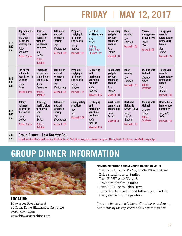# **FRIDAY** | **MAY 12, 2017**

| $1:15-$<br>2:00<br>p.m.  | <b>Reproductive</b><br>conflicts<br>and what it<br>means for<br>beekeepers<br>Peter<br><b>Neumann</b><br><b>Rollins Suber</b> | How to<br>propagate<br>pollinator<br>friendly<br>wildflowers<br>from seed<br>Kim<br><b>Bailey</b><br><b>Rollins</b><br><b>Hatcher</b> | <b>Cell-punch</b><br>method<br>for queen<br>rearing<br>Will<br>Montgomery<br>Maxwell 109 | <b>Propolis:</b><br>applying it<br>for honey<br>bee health<br>Cindy<br>Hodges<br>Maxwell 117 | <b>Certified</b><br>written exam<br>Ben<br>Rouse<br><b>Rollins</b><br><b>Third Floor</b><br><b>Student Left</b> | <b>Beekeeping</b><br>gadgets<br>anybody<br>can make<br>and use<br>Tom<br>Watson<br>Maxwell 116 | <b>Mead</b><br>making<br>Jay<br>Parsons<br>Maxwell 108                                                  | Varroa<br>management<br>through IPM<br>Lance<br>Wilson<br>Maxwell 106                           | <b>Things you</b><br>need to<br>know before<br>processing<br>honey<br><b>Bob</b><br><b>Binnie</b><br>Maxwell 107 |
|--------------------------|-------------------------------------------------------------------------------------------------------------------------------|---------------------------------------------------------------------------------------------------------------------------------------|------------------------------------------------------------------------------------------|----------------------------------------------------------------------------------------------|-----------------------------------------------------------------------------------------------------------------|------------------------------------------------------------------------------------------------|---------------------------------------------------------------------------------------------------------|-------------------------------------------------------------------------------------------------|------------------------------------------------------------------------------------------------------------------|
| $2:15-$<br>3:00<br>p.m.  | The plight<br>of bumble<br>bees in North<br>America<br><b>Berry</b><br><b>Brosi</b><br><b>Rollins Suber</b>                   | <b>Emergent</b><br>properties<br>in the honey<br>bee colony<br>Keith<br>Delaplane<br><b>Rollins</b><br><b>Hatcher</b>                 | <b>Cell-punch</b><br>method<br>for queen<br>rearing<br>Will<br>Montgomery<br>Maxwell 109 | <b>Propolis:</b><br>applying it<br>for honey<br>bee health<br>Cindy<br>Hodges<br>Maxwell 117 | Packaging<br>and<br>marketing<br>your hive<br>products<br>Julia<br>Mahood<br>Maxwell 106                        | <b>Beekeeping</b><br>gadgets<br>anybody<br>can make<br>and use<br>Tom<br>Watson<br>Maxwell 116 | Mead<br>making<br>Jay<br>Parsons<br>Maxwell 108                                                         | <b>Cooking with</b><br><b>Michael</b><br><b>Michael</b><br>Young<br><b>Rollins</b><br>Cafeteria | <b>Things you</b><br>need to<br>know before<br>processing<br>honey<br><b>Bob</b><br><b>Binnie</b><br>Maxwell 107 |
| $3:15 -$<br>4:00<br>p.m. | Colony<br>collapse<br>disorder in<br>the tropics<br>David<br><b>Jenkins</b><br><b>Rollins Suber</b>                           | <b>Creating</b><br>nesting sites<br>for native<br>bees<br>Kim<br><b>Bailey</b><br><b>Rollins</b><br><b>Hatcher</b>                    | <b>Cell-punch</b><br>method<br>for queen<br>rearing<br>Will<br>Montgomery<br>Maxwell 109 | <b>Apiary safety</b><br>practices<br>Will<br>Dix<br>Maxwell 107                              | Packaging<br>and<br>marketing<br>vour hive<br>products<br>Julia<br>Mahood<br>Maxwell 106                        | <b>Small scale</b><br>commercial<br>beekeeping<br>Slade<br><b>larrett</b><br>Maxwell 117       | <b>Certified</b><br><b>Naturally</b><br>Grown (CNG)<br><b>Mary</b><br>Cahill-<br>Roberts<br>Maxwell 108 | <b>Cooking with</b><br><b>Michael</b><br><b>Michael</b><br>Young<br><b>Rollins</b><br>Cafeteria | How to be a<br>honey show<br>secretary<br><b>Marybeth</b><br>Kelley<br>Maxwell 116                               |

#### **6:00 Group Dinner – Low Country Boil**

**p.m.** At the Retreat at Hiawassee River (see directions below). Tonight we recognize the new Journeyman, Master, Master Craftsman, and Welsh honey judges.

# **GROUP DINNER INFORMATION**

![](_page_16_Picture_5.jpeg)

#### **LOCATION**

Hiawassee River Retreat 15 Cabin Drive Hiawassee, GA 30546 (706) 896-7400 www.hiawasseecabins.com

#### **DRIVING DIRECTIONS FROM YOUNG HARRIS CAMPUS:**

- Turn RIGHT onto GA-2 E/US-76 E/Main Street.
- Drive straight for 10.8 miles
- Turn RIGHT onto GA-75 S
- Drive straight for 1.3 miles
- Turn RIGHT onto Cabin Drive
- Immediately turn left and follow signs. Park in the grass behind the pavilion.

*If you are in need of additional directions or assistance, please stop by the registration desk before 5:30 p.m.*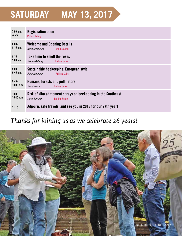# **SATURDAY** | **MAY 13, 2017**

| 7:00a.m.<br>-noon       | <b>Registration open</b><br><b>Rollins Lobby</b>                                                       |
|-------------------------|--------------------------------------------------------------------------------------------------------|
| $8:00-$<br>8:15a.m.     | <b>Welcome and Opening Details</b><br><b>Rollins Suber</b><br>Keith Delaplane                          |
| $8:15-$<br>9:00a.m.     | Take time to smell the roses<br>Debbie Delaney<br><b>Rollins Suber</b>                                 |
| $9:00-$<br>9:45a.m.     | Sustainable beekeeping, European style<br>Peter Neumann<br><b>Rollins Suber</b>                        |
| $9:45-$<br>10:00a.m.    | Humans, forests and pollinators<br>David Jenkins<br><b>Rollins Suber</b>                               |
| $10:00 -$<br>10:45 a.m. | Risk of zika abatement sprays on beekeeping in the Southeast<br><b>Rollins Suber</b><br>Lewis Bartlett |
| 11:15                   | Adjourn, safe travels, and see you in 2018 for our 27th year!                                          |

## *Thanks for joining us as we celebrate 26 years!*

![](_page_17_Picture_3.jpeg)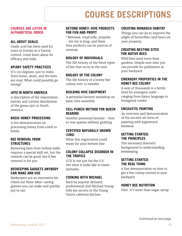# **COURSE DESCRIPTIONS**

.

#### **COURSES ARE LISTED IN ALPHABETICAL ORDER.**

#### **ALL ABOUT OXALIC**

Oxalic acid has been used for years in Europe as a Varroa control. Come learn about its efficacy and risks.

#### **APIARY SAFETY PRACTICES**

It's 100 degrees, you're miles from home, alone, and the bees are mad. What could possibly go wrong?

#### *APIS* **IN NORTH AMERICA**

A description of the importation history and current distribution of the genus *Apis* in North America.

#### **BASIC HONEY PROCESSING**

A live demonstration on processing honey from comb to bottle.

#### **BEE REMOVAL FROM STRUCTURES**

Removing bees from hollow walls requires a special skill set, but the rewards can be good. See if bee removal is for you.

#### **BEEKEEPING GADGETS ANYBODY CAN MAKE AND USE**

Beekeepers are an innovative lot. Check out these labor-saving gizmos you can make and quickly put to use.

#### **BEYOND HONEY: HIVE PRODUCTS FOR FUN AND PROFIT**

"Beeswax, royal jelly, propolis - the list is long, and these hive products can be sources of revenue.

#### **BIOLOGY OF INDIVIDUALS**

The life history of the three types of bee that occur in the nest

#### **BIOLOGY OF THE COLONY**

The life history of a honey bee colony over 12 months

#### **BUILDING HIVE EQUIPMENT**

A perennial favorite workshop on basic hive assembly

#### **CELL-PUNCH METHOD FOR QUEEN REARING**

Another perennial favorite - how to rear queens without grafting.

#### **CERTIFIED NATURALLY GROWN (CNG)**

What this registration could mean for your bottom line

#### **COLONY COLLAPSE DISORDER IN THE TROPICS**

CCD is not just for the U.S. See what it looks like in lower latitudes.

#### **COOKING WITH MICHAEL**

Back by popular demand, professional chef Michael Young tells his secrets in the Young Harris cafeteria kitchen.

#### **CREATING MONARCH HABITAT**

Things you can do to improve the plight of butterfies (and bees) on your property.

#### **CREATING NESTING SITES FOR NATIVE BEES**

Wild bees need more than gardens. Simple nest sites you can provide for pollinators in your backyard.

#### **EMERGENT PROPERTIES IN THE HONEY BEE COLONY**

A nest of thousands is a fertile field for emergent order ranging from dance language to hexagonal combs.

#### **ENCAUSTIC PAINTING**

An overview and demonstration of the ancient art form of painting with pigmented beeswax.

#### **GETTING STARTED: THE PRINCIPLES**

The necessary theoretic background to understanding beekeeping

#### **GETTING STARTED: THE REAL THING**

A live demonstration on how to get a bee colony started in your backyard.

#### **HONEY BEE NUTRITION**

Hint: it's more than sugar syrup.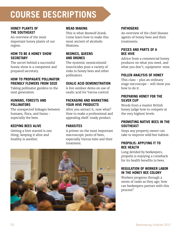# **COURSE DESCRIPTIONS**

#### **HONEY PLANTS OF THE SOUTHEAST**

An overview of the most important honey plants of our region.

#### **HOW TO BE A HONEY SHOW SECRETARY**

The secret behind a successful honey show is a competent and prepared secretary.

### **HOW TO PROPAGATE POLLINATOR FRIENDLY FLOWERS FROM SEED**

Taking pollinator gardens to the next generation.

#### **HUMANS, FORESTS AND POLLINATORS**

The unexpected linkages between humans, flora, and fauna especially the bees.

### **KEEPING BEES ALIVE**

Getting a hive started is one thing; keeping it alive and healthy is another.

### **MEAD MAKING**

This is what Beowulf drank. Come learn how to make this most ancient of alcoholic libations.

#### **NEONICS, QUEENS AND DRONES**

The systemic neonicotinoid insecticides pose a variety of risks to honey bees and other pollinators.

### **OXALIC ACID DEMONSTRATION**

A live outdoor demo on use of oxalic acid for Varroa control.

#### **PACKAGING AND MARKETING YOUR HIVE PRODUCTS**

After you extract it, now what? How to make a professional and appealing shelf-ready product.

### **PARASITES**

A primer on the most important macroscopic pests of bees, especially Varroa mite and their treatment.

![](_page_19_Picture_21.jpeg)

### **PATHOGENS**

An overview of the chief disease agents of honey bees and their treatments.

#### **PIECES AND PARTS OF A BEE HIVE**

Advice from a commercial honey producer on what you need, and what you don't, equipment-wise.

#### **POLLEN ANALYSIS OF HONEY**

This class - plus an ordinary stage microscope - will show you how to do it.

#### **PREPARING HONEY FOR THE SILVER CUP**

Words from a master British honey judge how to compete at the very highest levels.

#### **PROMOTING NATIVE BEES IN THE SOUTHEAST**

Steps any property owner can take to improve wild bee habitat.

#### **PROPOLIS: APPLYING IT TO BEE HEALTH**

Long derided by beekeepers, propolis is enjoying a comeback for its health benefits to bees.

#### **REGULATION OF WORKER LABOR IN THE HONEY BEE COLONY**

Workers progress through a series of tasks as they age; how can beekeepers partner with this process?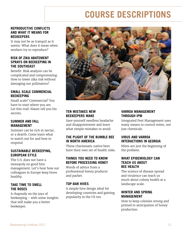# **COURSE DESCRIPTIONS**

#### **REPRODUCTIVE CONFLICTS AND WHAT IT MEANS FOR BEEKEEPERS**

It may not be as tranquil as it seems: What does it mean when workers try to reproduce?

#### **RISK OF ZIKA ABATEMENT SPRAYS ON BEEKEEPING IN THE SOUTHEAST**

Beneft: Risk analysis can be complicated and compromising. How to lower zika risk without damaging our pollinators?

#### **SMALL SCALE COMMERCIAL BEEKEEPING**

Small scale? Commercial? You have to start where you are. Let this trail-blazer tell you his secrets.

#### **SUMMER AND FALL MANAGEMENT**

Summer can be rich in nectar, or a dearth. Come learn what to watch out for and how to respond.

#### **SUSTAINABLE BEEKEEPING, EUROPEAN STYLE**

The U.S. does not have a monopoly on good hive management. Let's hear how our colleagues in Europe keep hives healthy.

#### **TAKE TIME TO SMELL THE ROSES**

A rhapsody on the joys of beekeeping - with some insights that will make you a better beekeeper.

![](_page_20_Picture_13.jpeg)

#### **TEN MISTAKES NEW BEEKEEPERS MAKE**

Save yourself needless headache and disappointment and learn what simple mistakes to avoid.

### **THE PLIGHT OF THE BUMBLE BEE IN NORTH AMERICA**

These charismatic native bees have their own set of health risks.

### **THINGS YOU NEED TO KNOW BEFORE PROCESSING HONEY**

Words of advice from a professional honey producer and packer.

### **TOP-BAR HIVES**

A simple hive design ideal for developing countries and gaining popularity in the US too

#### **VARROA MANAGEMENT THROUGH IPM**

Integrated Pest Management uses many means to control mites, not just chemicals.

### **VIRUS AND VARROA INTERACTIONS IN GEORGIA**

Mites are just the beginning of the problem.

#### **WHAT EPIDEMIOLOGY CAN TEACH US ABOUT BEE HEALTH**

The science of disease spread and virulence can teach us much about colony health at a landscape scale.

#### **WINTER AND SPRING MANAGEMENT**

How to keep colonies strong and primed in anticipation of honey production.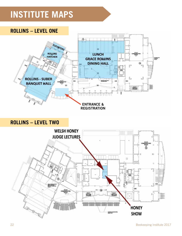# **INSTITUTE MAPS**

![](_page_21_Figure_1.jpeg)

![](_page_21_Figure_2.jpeg)

**ROLLINS – LEVEL TWO**

![](_page_21_Figure_4.jpeg)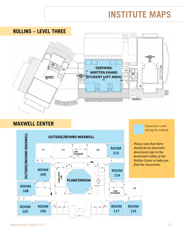# **INSTITUTE MAPS**

![](_page_22_Figure_1.jpeg)

## **MAXWELL CENTER**

![](_page_22_Figure_3.jpeg)

Classrooms used during the institute

*Please note that there should be an electronic directional sign in the downstairs lobby of the Rollins Center to help you find the classrooms.*